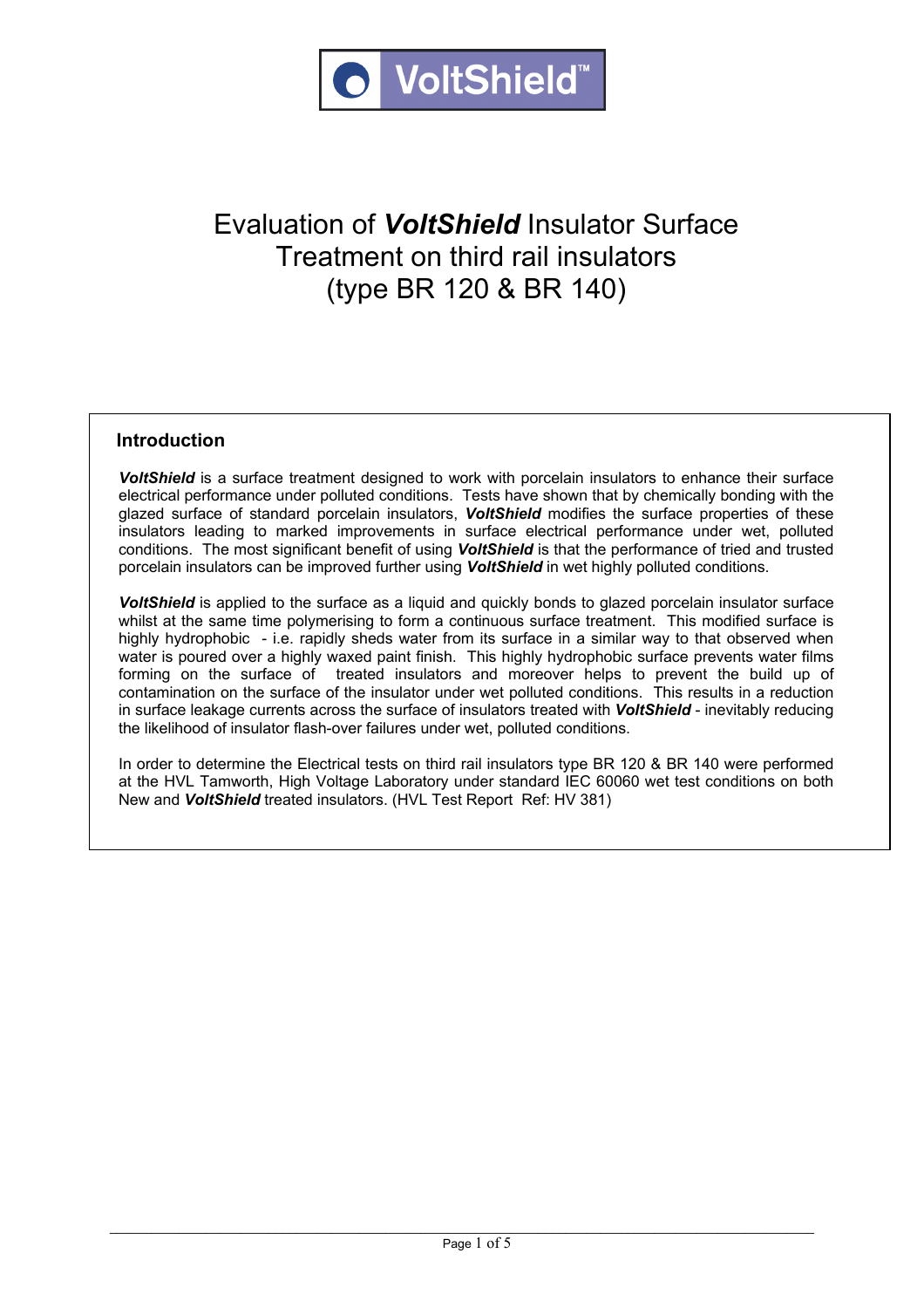

# Evaluation of *VoltShield* Insulator Surface Treatment on third rail insulators (type BR 120 & BR 140)

#### **Introduction**

*VoltShield* is a surface treatment designed to work with porcelain insulators to enhance their surface electrical performance under polluted conditions. Tests have shown that by chemically bonding with the glazed surface of standard porcelain insulators, *VoltShield* modifies the surface properties of these insulators leading to marked improvements in surface electrical performance under wet, polluted conditions. The most significant benefit of using *VoltShield* is that the performance of tried and trusted porcelain insulators can be improved further using *VoltShield* in wet highly polluted conditions.

*VoltShield* is applied to the surface as a liquid and quickly bonds to glazed porcelain insulator surface whilst at the same time polymerising to form a continuous surface treatment. This modified surface is highly hydrophobic - i.e. rapidly sheds water from its surface in a similar way to that observed when water is poured over a highly waxed paint finish. This highly hydrophobic surface prevents water films forming on the surface of treated insulators and moreover helps to prevent the build up of contamination on the surface of the insulator under wet polluted conditions. This results in a reduction in surface leakage currents across the surface of insulators treated with *VoltShield* - inevitably reducing the likelihood of insulator flash-over failures under wet, polluted conditions.

In order to determine the Electrical tests on third rail insulators type BR 120 & BR 140 were performed at the HVL Tamworth, High Voltage Laboratory under standard IEC 60060 wet test conditions on both New and *VoltShield* treated insulators. (HVL Test Report Ref: HV 381)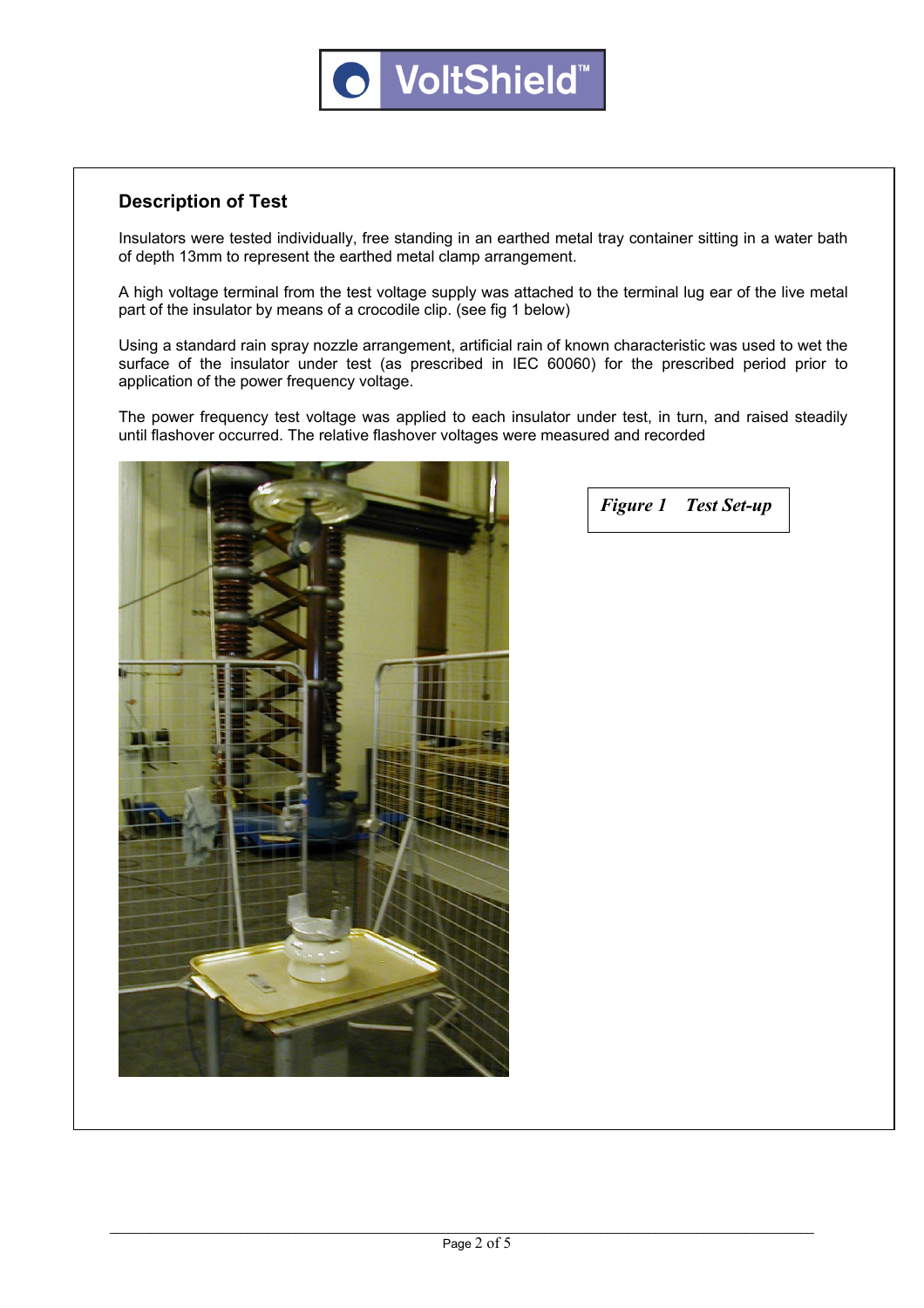## **Description of Test**

Insulators were tested individually, free standing in an earthed metal tray container sitting in a water bath of depth 13mm to represent the earthed metal clamp arrangement.

A high voltage terminal from the test voltage supply was attached to the terminal lug ear of the live metal part of the insulator by means of a crocodile clip. (see fig 1 below)

Using a standard rain spray nozzle arrangement, artificial rain of known characteristic was used to wet the surface of the insulator under test (as prescribed in IEC 60060) for the prescribed period prior to application of the power frequency voltage.

The power frequency test voltage was applied to each insulator under test, in turn, and raised steadily until flashover occurred. The relative flashover voltages were measured and recorded



*Figure 1 Test Set-up*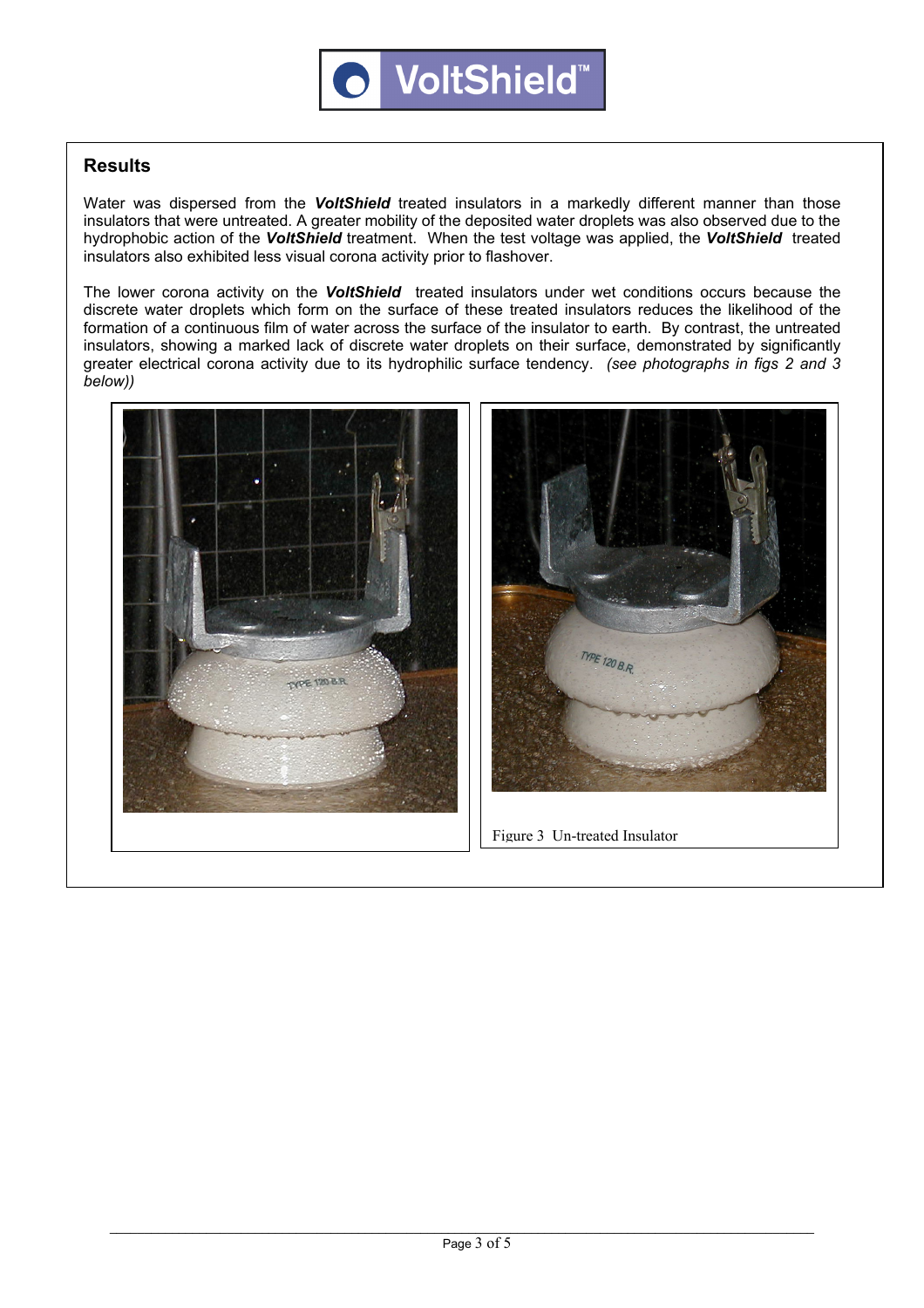#### **Results**

Water was dispersed from the *VoltShield* treated insulators in a markedly different manner than those insulators that were untreated. A greater mobility of the deposited water droplets was also observed due to the hydrophobic action of the *VoltShield* treatment. When the test voltage was applied, the *VoltShield* treated insulators also exhibited less visual corona activity prior to flashover.

The lower corona activity on the *VoltShield* treated insulators under wet conditions occurs because the discrete water droplets which form on the surface of these treated insulators reduces the likelihood of the formation of a continuous film of water across the surface of the insulator to earth. By contrast, the untreated insulators, showing a marked lack of discrete water droplets on their surface, demonstrated by significantly greater electrical corona activity due to its hydrophilic surface tendency. *(see photographs in figs 2 and 3 below))* 





**1. Further demonstration and observation** Figure 2 *VoltShield* Treated Insulator Figure 3 Un-treated Insulator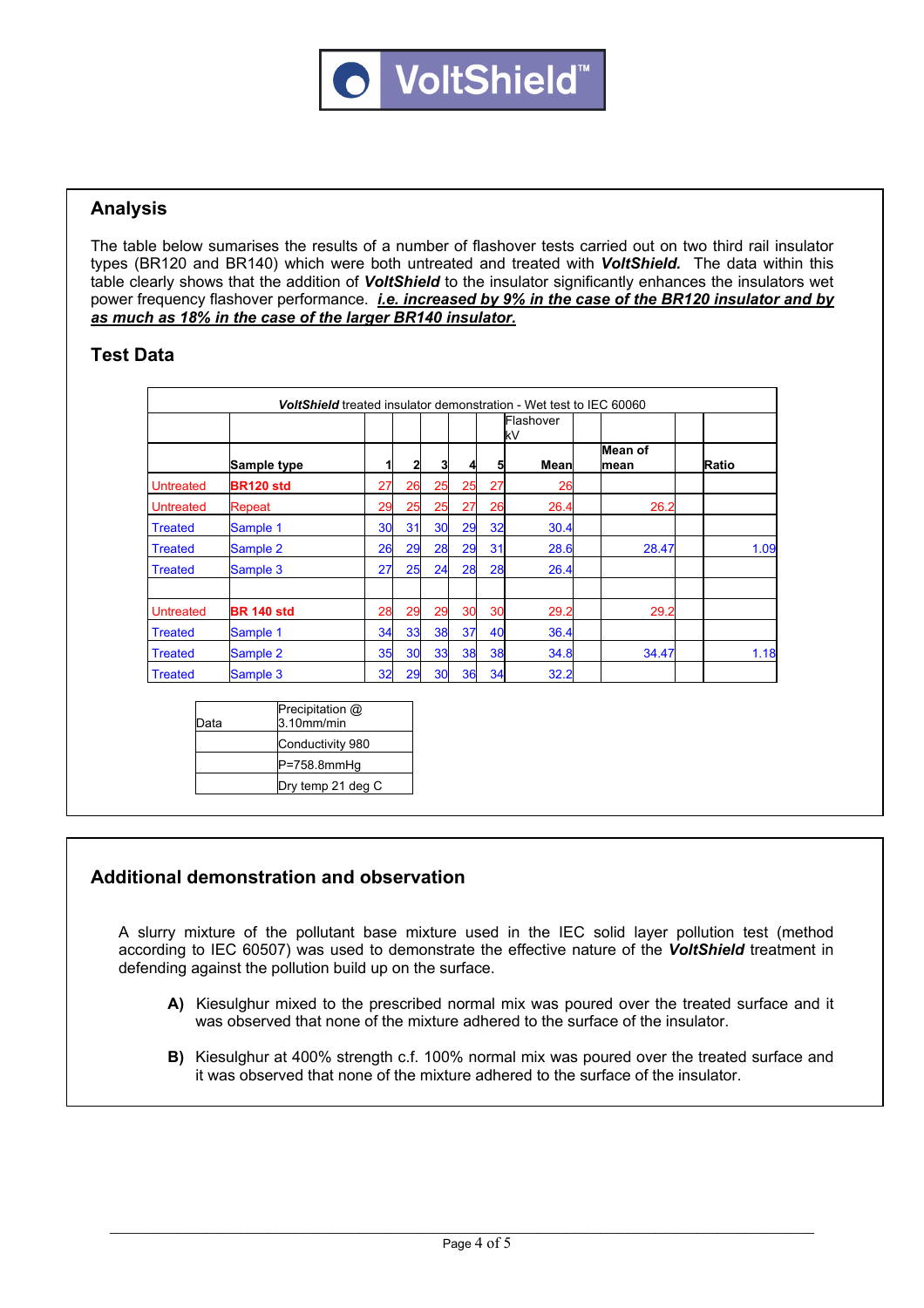#### **Analysis**

The table below sumarises the results of a number of flashover tests carried out on two third rail insulator types (BR120 and BR140) which were both untreated and treated with *VoltShield.* The data within this table clearly shows that the addition of *VoltShield* to the insulator significantly enhances the insulators wet power frequency flashover performance. *i.e. increased by 9% in the case of the BR120 insulator and by as much as 18% in the case of the larger BR140 insulator.* 

#### **Test Data**

|                  |                                                      |    |    |    |    |    | Flashover<br>kV |                 |       |
|------------------|------------------------------------------------------|----|----|----|----|----|-----------------|-----------------|-------|
|                  | Sample type                                          |    | 2  | 3  |    | 5  | Mean            | Mean of<br>mean | Ratio |
| <b>Untreated</b> | <b>BR120 std</b>                                     | 27 | 26 | 25 | 25 | 27 | 26              |                 |       |
| <b>Untreated</b> | Repeat                                               | 29 | 25 | 25 | 27 | 26 | 26.4            | 26.2            |       |
| <b>Treated</b>   | Sample 1                                             | 30 | 31 | 30 | 29 | 32 | 30.4            |                 |       |
| <b>Treated</b>   | Sample 2                                             | 26 | 29 | 28 | 29 | 31 | 28.6            | 28.47           | 1.09  |
| <b>Treated</b>   | Sample 3                                             | 27 | 25 | 24 | 28 | 28 | 26.4            |                 |       |
| <b>Untreated</b> | <b>BR 140 std</b>                                    | 28 | 29 | 29 | 30 | 30 | 29.2            | 29.2            |       |
| <b>Treated</b>   | Sample 1                                             | 34 | 33 | 38 | 37 | 40 | 36.4            |                 |       |
| <b>Treated</b>   | Sample 2                                             | 35 | 30 | 33 | 38 | 38 | 34.8            | 34.47           | 1.18  |
| <b>Treated</b>   | Sample 3                                             | 32 | 29 | 30 | 36 | 34 | 32.2            |                 |       |
| Data             | Precipitation @<br>$3.10$ mm/min<br>Conductivity 080 |    |    |    |    |    |                 |                 |       |

| Data | 3.10 <sub>mm/min</sub> |
|------|------------------------|
|      | Conductivity 980       |
|      | $P = 758.8$ mmHq       |
|      | Dry temp 21 deg C      |
|      |                        |

## **Additional demonstration and observation**

A slurry mixture of the pollutant base mixture used in the IEC solid layer pollution test (method according to IEC 60507) was used to demonstrate the effective nature of the *VoltShield* treatment in defending against the pollution build up on the surface.

- **A)** Kiesulghur mixed to the prescribed normal mix was poured over the treated surface and it was observed that none of the mixture adhered to the surface of the insulator.
- **B)** Kiesulghur at 400% strength c.f. 100% normal mix was poured over the treated surface and it was observed that none of the mixture adhered to the surface of the insulator.